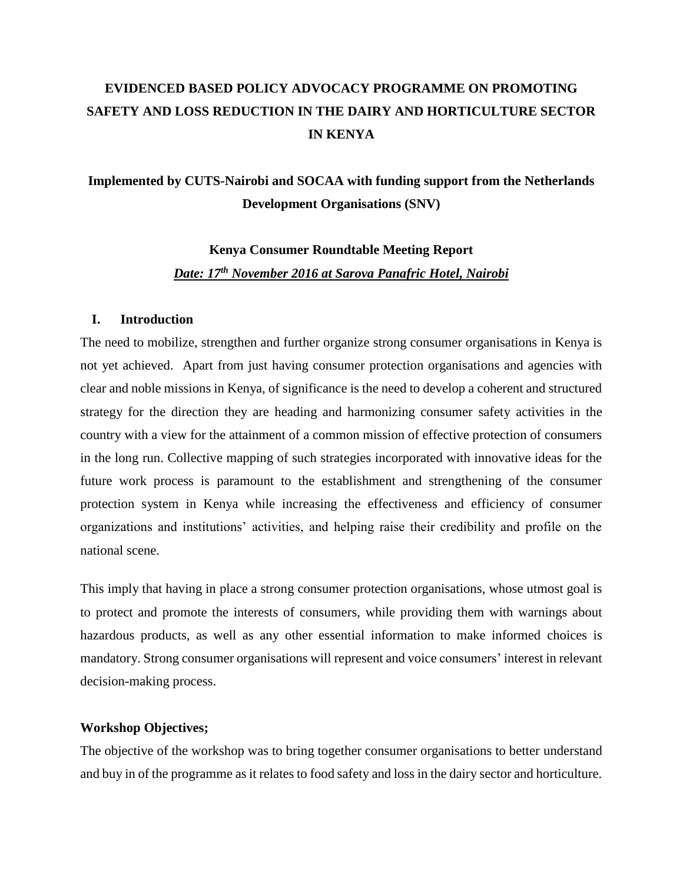# **EVIDENCED BASED POLICY ADVOCACY PROGRAMME ON PROMOTING SAFETY AND LOSS REDUCTION IN THE DAIRY AND HORTICULTURE SECTOR IN KENYA**

## **Implemented by CUTS-Nairobi and SOCAA with funding support from the Netherlands Development Organisations (SNV)**

**Kenya Consumer Roundtable Meeting Report** *Date: 17th November 2016 at Sarova Panafric Hotel, Nairobi*

#### **I. Introduction**

The need to mobilize, strengthen and further organize strong consumer organisations in Kenya is not yet achieved. Apart from just having consumer protection organisations and agencies with clear and noble missions in Kenya, of significance is the need to develop a coherent and structured strategy for the direction they are heading and harmonizing consumer safety activities in the country with a view for the attainment of a common mission of effective protection of consumers in the long run. Collective mapping of such strategies incorporated with innovative ideas for the future work process is paramount to the establishment and strengthening of the consumer protection system in Kenya while increasing the effectiveness and efficiency of consumer organizations and institutions' activities, and helping raise their credibility and profile on the national scene.

This imply that having in place a strong consumer protection organisations, whose utmost goal is to protect and promote the interests of consumers, while providing them with warnings about hazardous products, as well as any other essential information to make informed choices is mandatory. Strong consumer organisations will represent and voice consumers' interest in relevant decision-making process.

#### **Workshop Objectives;**

The objective of the workshop was to bring together consumer organisations to better understand and buy in of the programme as it relates to food safety and loss in the dairy sector and horticulture.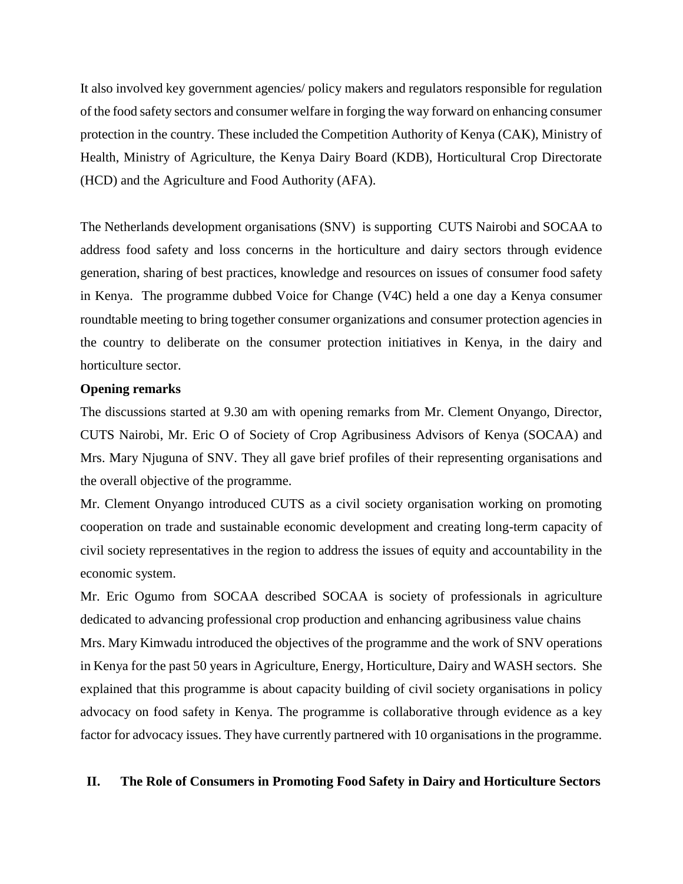It also involved key government agencies/ policy makers and regulators responsible for regulation of the food safety sectors and consumer welfare in forging the way forward on enhancing consumer protection in the country. These included the Competition Authority of Kenya (CAK), Ministry of Health, Ministry of Agriculture, the Kenya Dairy Board (KDB), Horticultural Crop Directorate (HCD) and the Agriculture and Food Authority (AFA).

The Netherlands development organisations (SNV) is supporting CUTS Nairobi and SOCAA to address food safety and loss concerns in the horticulture and dairy sectors through evidence generation, sharing of best practices, knowledge and resources on issues of consumer food safety in Kenya. The programme dubbed Voice for Change (V4C) held a one day a Kenya consumer roundtable meeting to bring together consumer organizations and consumer protection agencies in the country to deliberate on the consumer protection initiatives in Kenya, in the dairy and horticulture sector.

#### **Opening remarks**

The discussions started at 9.30 am with opening remarks from Mr. Clement Onyango, Director, CUTS Nairobi, Mr. Eric O of Society of Crop Agribusiness Advisors of Kenya (SOCAA) and Mrs. Mary Njuguna of SNV. They all gave brief profiles of their representing organisations and the overall objective of the programme.

Mr. Clement Onyango introduced CUTS as a civil society organisation working on promoting cooperation on trade and sustainable economic development and creating long-term capacity of civil society representatives in the region to address the issues of equity and accountability in the economic system.

Mr. Eric Ogumo from SOCAA described SOCAA is society of professionals in agriculture dedicated to advancing professional crop production and enhancing agribusiness value chains Mrs. Mary Kimwadu introduced the objectives of the programme and the work of SNV operations in Kenya for the past 50 years in Agriculture, Energy, Horticulture, Dairy and WASH sectors. She explained that this programme is about capacity building of civil society organisations in policy advocacy on food safety in Kenya. The programme is collaborative through evidence as a key factor for advocacy issues. They have currently partnered with 10 organisations in the programme.

#### **II. The Role of Consumers in Promoting Food Safety in Dairy and Horticulture Sectors**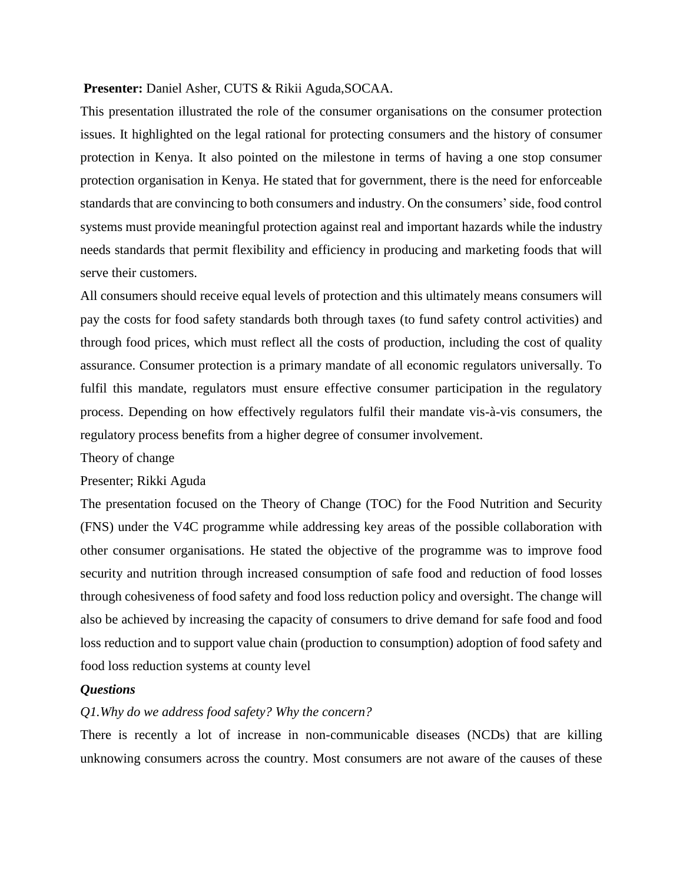#### **Presenter:** Daniel Asher, CUTS & Rikii Aguda,SOCAA.

This presentation illustrated the role of the consumer organisations on the consumer protection issues. It highlighted on the legal rational for protecting consumers and the history of consumer protection in Kenya. It also pointed on the milestone in terms of having a one stop consumer protection organisation in Kenya. He stated that for government, there is the need for enforceable standards that are convincing to both consumers and industry. On the consumers' side, food control systems must provide meaningful protection against real and important hazards while the industry needs standards that permit flexibility and efficiency in producing and marketing foods that will serve their customers.

All consumers should receive equal levels of protection and this ultimately means consumers will pay the costs for food safety standards both through taxes (to fund safety control activities) and through food prices, which must reflect all the costs of production, including the cost of quality assurance. Consumer protection is a primary mandate of all economic regulators universally. To fulfil this mandate, regulators must ensure effective consumer participation in the regulatory process. Depending on how effectively regulators fulfil their mandate vis-à-vis consumers, the regulatory process benefits from a higher degree of consumer involvement.

Theory of change

#### Presenter; Rikki Aguda

The presentation focused on the Theory of Change (TOC) for the Food Nutrition and Security (FNS) under the V4C programme while addressing key areas of the possible collaboration with other consumer organisations. He stated the objective of the programme was to improve food security and nutrition through increased consumption of safe food and reduction of food losses through cohesiveness of food safety and food loss reduction policy and oversight. The change will also be achieved by increasing the capacity of consumers to drive demand for safe food and food loss reduction and to support value chain (production to consumption) adoption of food safety and food loss reduction systems at county level

## *Questions*

### *Q1.Why do we address food safety? Why the concern?*

There is recently a lot of increase in non-communicable diseases (NCDs) that are killing unknowing consumers across the country. Most consumers are not aware of the causes of these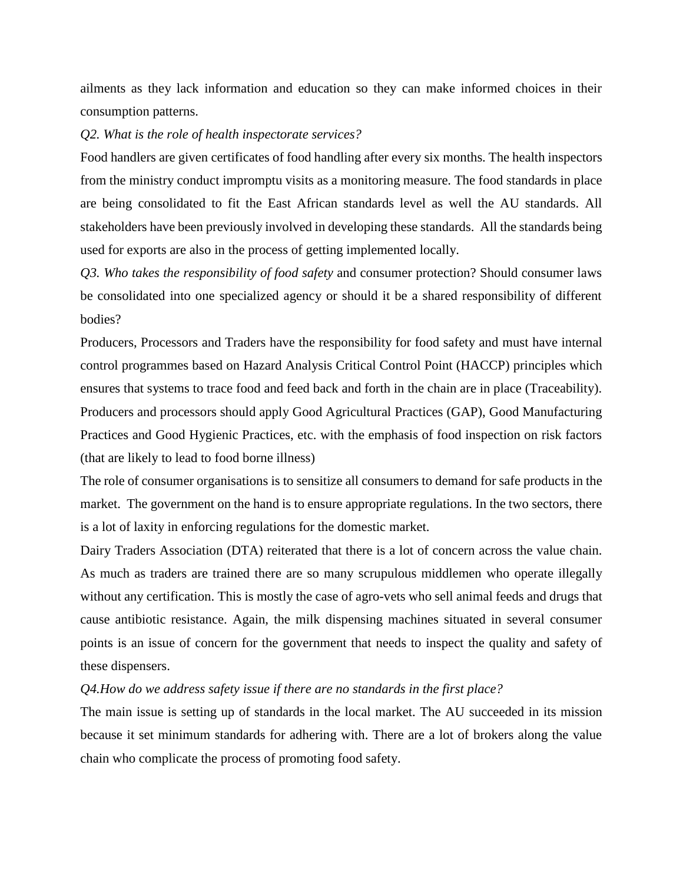ailments as they lack information and education so they can make informed choices in their consumption patterns.

#### *Q2. What is the role of health inspectorate services?*

Food handlers are given certificates of food handling after every six months. The health inspectors from the ministry conduct impromptu visits as a monitoring measure. The food standards in place are being consolidated to fit the East African standards level as well the AU standards. All stakeholders have been previously involved in developing these standards. All the standards being used for exports are also in the process of getting implemented locally.

*Q3. Who takes the responsibility of food safety* and consumer protection? Should consumer laws be consolidated into one specialized agency or should it be a shared responsibility of different bodies?

Producers, Processors and Traders have the responsibility for food safety and must have internal control programmes based on Hazard Analysis Critical Control Point (HACCP) principles which ensures that systems to trace food and feed back and forth in the chain are in place (Traceability). Producers and processors should apply Good Agricultural Practices (GAP), Good Manufacturing Practices and Good Hygienic Practices, etc. with the emphasis of food inspection on risk factors (that are likely to lead to food borne illness)

The role of consumer organisations is to sensitize all consumers to demand for safe products in the market. The government on the hand is to ensure appropriate regulations. In the two sectors, there is a lot of laxity in enforcing regulations for the domestic market.

Dairy Traders Association (DTA) reiterated that there is a lot of concern across the value chain. As much as traders are trained there are so many scrupulous middlemen who operate illegally without any certification. This is mostly the case of agro-vets who sell animal feeds and drugs that cause antibiotic resistance. Again, the milk dispensing machines situated in several consumer points is an issue of concern for the government that needs to inspect the quality and safety of these dispensers.

#### *Q4.How do we address safety issue if there are no standards in the first place?*

The main issue is setting up of standards in the local market. The AU succeeded in its mission because it set minimum standards for adhering with. There are a lot of brokers along the value chain who complicate the process of promoting food safety.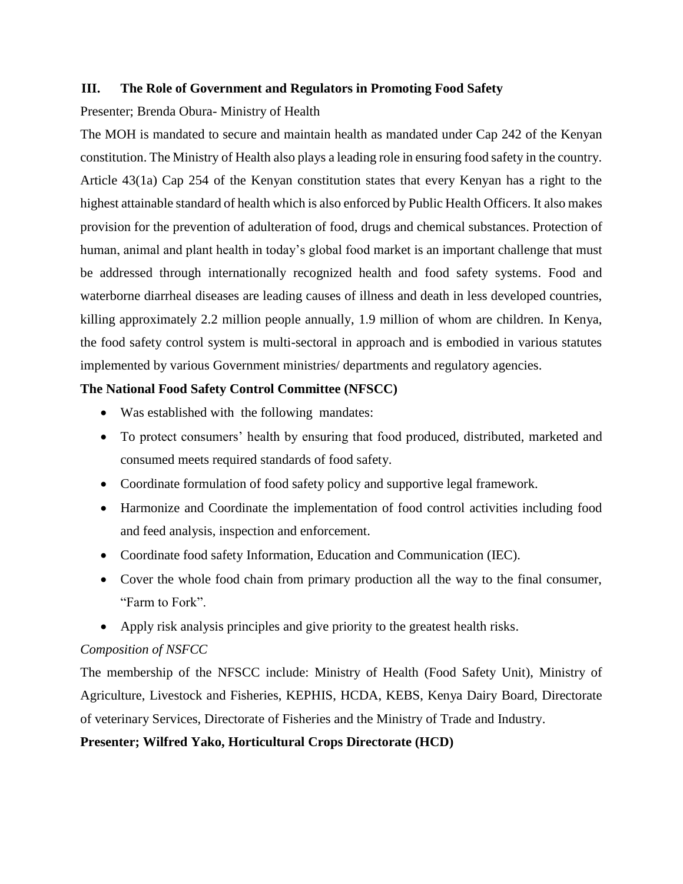## **III. The Role of Government and Regulators in Promoting Food Safety**

Presenter; Brenda Obura- Ministry of Health

The MOH is mandated to secure and maintain health as mandated under Cap 242 of the Kenyan constitution. The Ministry of Health also plays a leading role in ensuring food safety in the country. Article 43(1a) Cap 254 of the Kenyan constitution states that every Kenyan has a right to the highest attainable standard of health which is also enforced by Public Health Officers. It also makes provision for the prevention of adulteration of food, drugs and chemical substances. Protection of human, animal and plant health in today's global food market is an important challenge that must be addressed through internationally recognized health and food safety systems. Food and waterborne diarrheal diseases are leading causes of illness and death in less developed countries, killing approximately 2.2 million people annually, 1.9 million of whom are children. In Kenya, the food safety control system is multi-sectoral in approach and is embodied in various statutes implemented by various Government ministries/ departments and regulatory agencies.

## **The National Food Safety Control Committee (NFSCC)**

- Was established with the following mandates:
- To protect consumers' health by ensuring that food produced, distributed, marketed and consumed meets required standards of food safety.
- Coordinate formulation of food safety policy and supportive legal framework.
- Harmonize and Coordinate the implementation of food control activities including food and feed analysis, inspection and enforcement.
- Coordinate food safety Information, Education and Communication (IEC).
- Cover the whole food chain from primary production all the way to the final consumer, "Farm to Fork".
- Apply risk analysis principles and give priority to the greatest health risks.

## *Composition of NSFCC*

The membership of the NFSCC include: Ministry of Health (Food Safety Unit), Ministry of Agriculture, Livestock and Fisheries, KEPHIS, HCDA, KEBS, Kenya Dairy Board, Directorate of veterinary Services, Directorate of Fisheries and the Ministry of Trade and Industry.

## **Presenter; Wilfred Yako, Horticultural Crops Directorate (HCD)**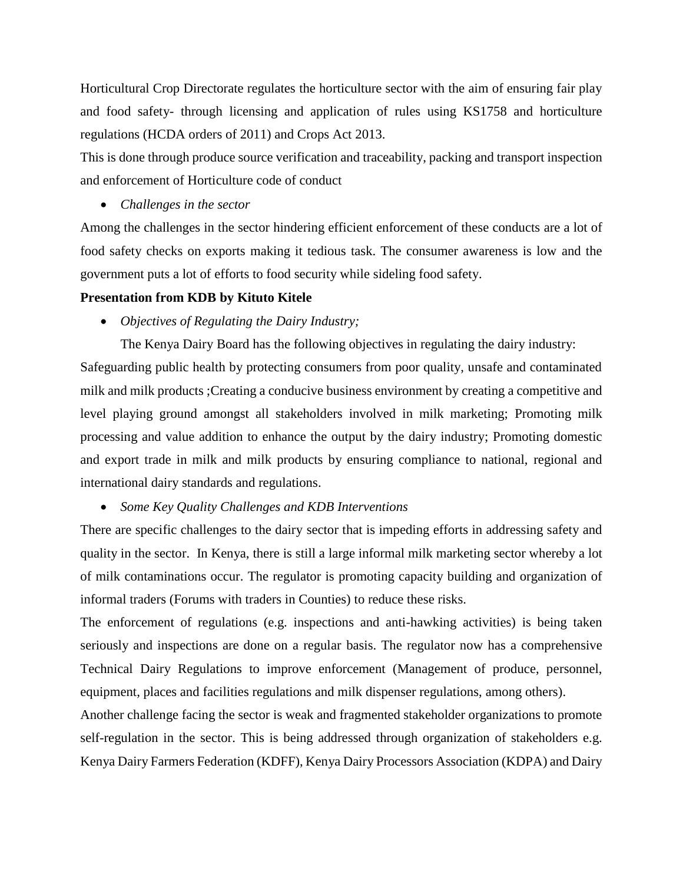Horticultural Crop Directorate regulates the horticulture sector with the aim of ensuring fair play and food safety- through licensing and application of rules using KS1758 and horticulture regulations (HCDA orders of 2011) and Crops Act 2013.

This is done through produce source verification and traceability, packing and transport inspection and enforcement of Horticulture code of conduct

*Challenges in the sector*

Among the challenges in the sector hindering efficient enforcement of these conducts are a lot of food safety checks on exports making it tedious task. The consumer awareness is low and the government puts a lot of efforts to food security while sideling food safety.

#### **Presentation from KDB by Kituto Kitele**

*Objectives of Regulating the Dairy Industry;* 

The Kenya Dairy Board has the following objectives in regulating the dairy industry: Safeguarding public health by protecting consumers from poor quality, unsafe and contaminated milk and milk products ;Creating a conducive business environment by creating a competitive and level playing ground amongst all stakeholders involved in milk marketing; Promoting milk processing and value addition to enhance the output by the dairy industry; Promoting domestic and export trade in milk and milk products by ensuring compliance to national, regional and international dairy standards and regulations.

*Some Key Quality Challenges and KDB Interventions*

There are specific challenges to the dairy sector that is impeding efforts in addressing safety and quality in the sector. In Kenya, there is still a large informal milk marketing sector whereby a lot of milk contaminations occur. The regulator is promoting capacity building and organization of informal traders (Forums with traders in Counties) to reduce these risks.

The enforcement of regulations (e.g. inspections and anti-hawking activities) is being taken seriously and inspections are done on a regular basis. The regulator now has a comprehensive Technical Dairy Regulations to improve enforcement (Management of produce, personnel, equipment, places and facilities regulations and milk dispenser regulations, among others).

Another challenge facing the sector is weak and fragmented stakeholder organizations to promote self-regulation in the sector. This is being addressed through organization of stakeholders e.g. Kenya Dairy Farmers Federation (KDFF), Kenya Dairy Processors Association (KDPA) and Dairy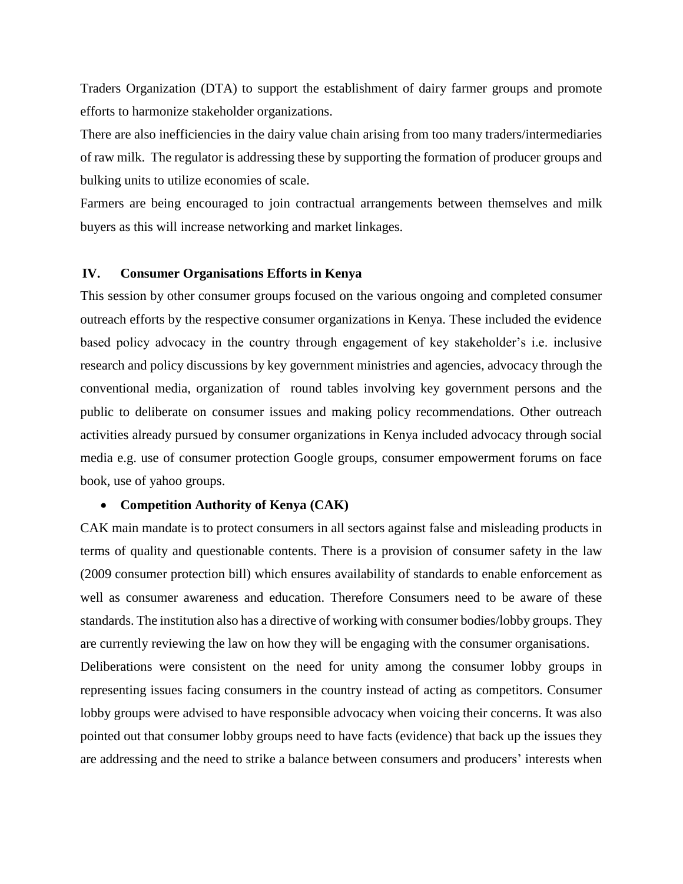Traders Organization (DTA) to support the establishment of dairy farmer groups and promote efforts to harmonize stakeholder organizations.

There are also inefficiencies in the dairy value chain arising from too many traders/intermediaries of raw milk. The regulator is addressing these by supporting the formation of producer groups and bulking units to utilize economies of scale.

Farmers are being encouraged to join contractual arrangements between themselves and milk buyers as this will increase networking and market linkages.

### **IV. Consumer Organisations Efforts in Kenya**

This session by other consumer groups focused on the various ongoing and completed consumer outreach efforts by the respective consumer organizations in Kenya. These included the evidence based policy advocacy in the country through engagement of key stakeholder's i.e. inclusive research and policy discussions by key government ministries and agencies, advocacy through the conventional media, organization of round tables involving key government persons and the public to deliberate on consumer issues and making policy recommendations. Other outreach activities already pursued by consumer organizations in Kenya included advocacy through social media e.g. use of consumer protection Google groups, consumer empowerment forums on face book, use of yahoo groups.

#### **Competition Authority of Kenya (CAK)**

CAK main mandate is to protect consumers in all sectors against false and misleading products in terms of quality and questionable contents. There is a provision of consumer safety in the law (2009 consumer protection bill) which ensures availability of standards to enable enforcement as well as consumer awareness and education. Therefore Consumers need to be aware of these standards. The institution also has a directive of working with consumer bodies/lobby groups. They are currently reviewing the law on how they will be engaging with the consumer organisations. Deliberations were consistent on the need for unity among the consumer lobby groups in representing issues facing consumers in the country instead of acting as competitors. Consumer lobby groups were advised to have responsible advocacy when voicing their concerns. It was also pointed out that consumer lobby groups need to have facts (evidence) that back up the issues they are addressing and the need to strike a balance between consumers and producers' interests when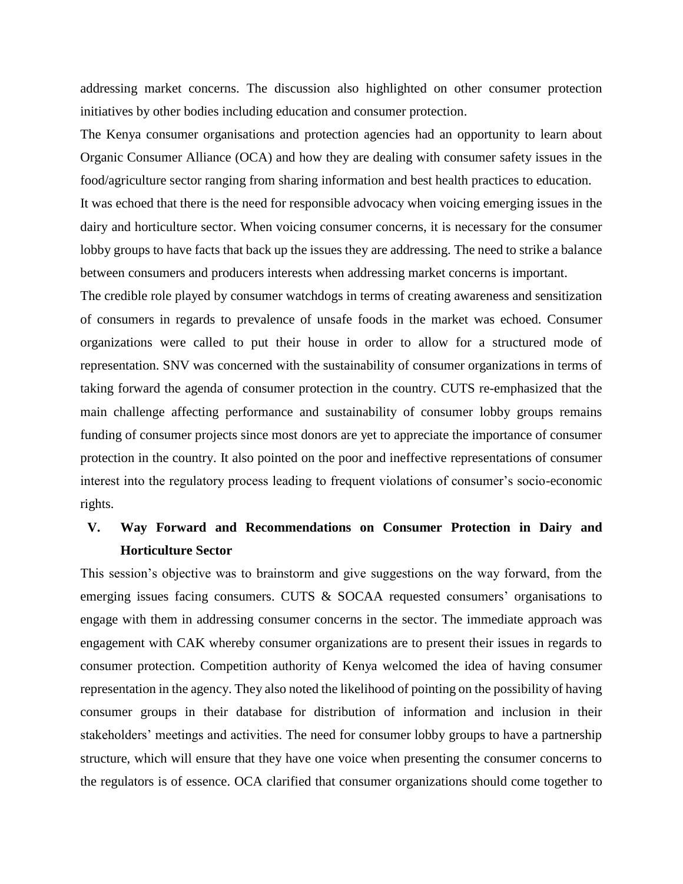addressing market concerns. The discussion also highlighted on other consumer protection initiatives by other bodies including education and consumer protection.

The Kenya consumer organisations and protection agencies had an opportunity to learn about Organic Consumer Alliance (OCA) and how they are dealing with consumer safety issues in the food/agriculture sector ranging from sharing information and best health practices to education.

It was echoed that there is the need for responsible advocacy when voicing emerging issues in the dairy and horticulture sector. When voicing consumer concerns, it is necessary for the consumer lobby groups to have facts that back up the issues they are addressing. The need to strike a balance between consumers and producers interests when addressing market concerns is important.

The credible role played by consumer watchdogs in terms of creating awareness and sensitization of consumers in regards to prevalence of unsafe foods in the market was echoed. Consumer organizations were called to put their house in order to allow for a structured mode of representation. SNV was concerned with the sustainability of consumer organizations in terms of taking forward the agenda of consumer protection in the country. CUTS re-emphasized that the main challenge affecting performance and sustainability of consumer lobby groups remains funding of consumer projects since most donors are yet to appreciate the importance of consumer protection in the country. It also pointed on the poor and ineffective representations of consumer interest into the regulatory process leading to frequent violations of consumer's socio-economic rights.

## **V. Way Forward and Recommendations on Consumer Protection in Dairy and Horticulture Sector**

This session's objective was to brainstorm and give suggestions on the way forward, from the emerging issues facing consumers. CUTS & SOCAA requested consumers' organisations to engage with them in addressing consumer concerns in the sector. The immediate approach was engagement with CAK whereby consumer organizations are to present their issues in regards to consumer protection. Competition authority of Kenya welcomed the idea of having consumer representation in the agency. They also noted the likelihood of pointing on the possibility of having consumer groups in their database for distribution of information and inclusion in their stakeholders' meetings and activities. The need for consumer lobby groups to have a partnership structure, which will ensure that they have one voice when presenting the consumer concerns to the regulators is of essence. OCA clarified that consumer organizations should come together to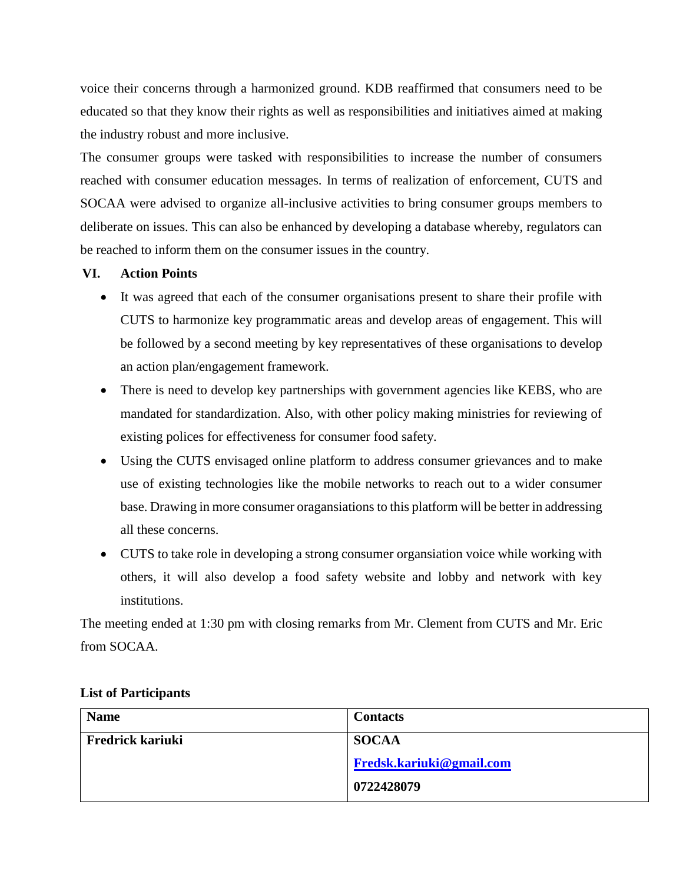voice their concerns through a harmonized ground. KDB reaffirmed that consumers need to be educated so that they know their rights as well as responsibilities and initiatives aimed at making the industry robust and more inclusive.

The consumer groups were tasked with responsibilities to increase the number of consumers reached with consumer education messages. In terms of realization of enforcement, CUTS and SOCAA were advised to organize all-inclusive activities to bring consumer groups members to deliberate on issues. This can also be enhanced by developing a database whereby, regulators can be reached to inform them on the consumer issues in the country.

## **VI. Action Points**

- It was agreed that each of the consumer organisations present to share their profile with CUTS to harmonize key programmatic areas and develop areas of engagement. This will be followed by a second meeting by key representatives of these organisations to develop an action plan/engagement framework.
- There is need to develop key partnerships with government agencies like KEBS, who are mandated for standardization. Also, with other policy making ministries for reviewing of existing polices for effectiveness for consumer food safety.
- Using the CUTS envisaged online platform to address consumer grievances and to make use of existing technologies like the mobile networks to reach out to a wider consumer base. Drawing in more consumer oragansiations to this platform will be better in addressing all these concerns.
- CUTS to take role in developing a strong consumer organsiation voice while working with others, it will also develop a food safety website and lobby and network with key institutions.

The meeting ended at 1:30 pm with closing remarks from Mr. Clement from CUTS and Mr. Eric from SOCAA.

| <b>Name</b>             | <b>Contacts</b>                 |
|-------------------------|---------------------------------|
| <b>Fredrick kariuki</b> | <b>SOCAA</b>                    |
|                         | <b>Fredsk.kariuki@gmail.com</b> |
|                         | 0722428079                      |

### **List of Participants**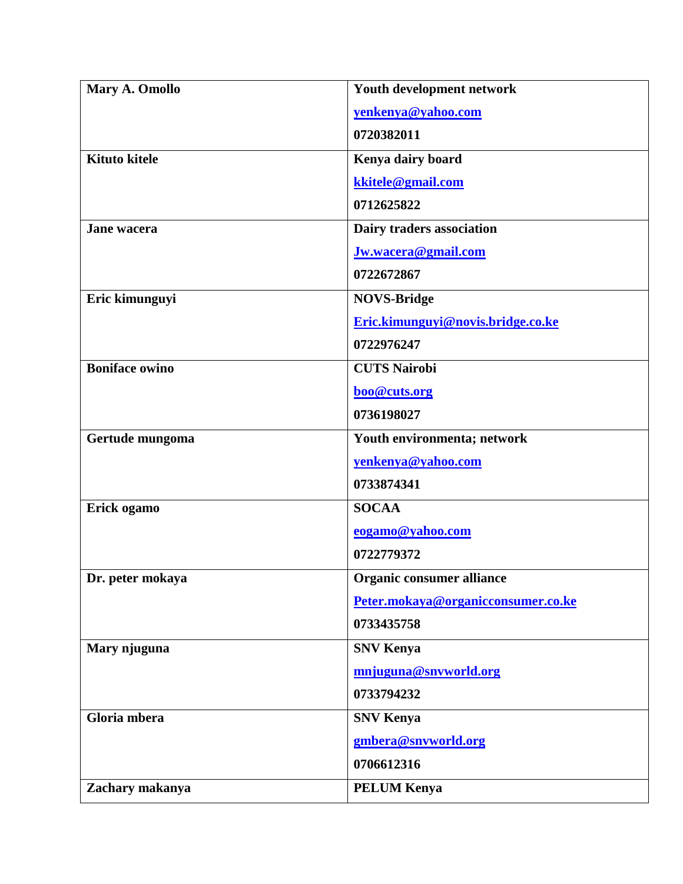| Mary A. Omollo        | Youth development network          |
|-----------------------|------------------------------------|
|                       | yenkenya@yahoo.com                 |
|                       | 0720382011                         |
| <b>Kituto kitele</b>  | Kenya dairy board                  |
|                       | kkitele@gmail.com                  |
|                       | 0712625822                         |
| Jane wacera           | Dairy traders association          |
|                       | <b>Jw.wacera@gmail.com</b>         |
|                       | 0722672867                         |
| Eric kimunguyi        | <b>NOVS-Bridge</b>                 |
|                       | Eric.kimunguyi@novis.bridge.co.ke  |
|                       | 0722976247                         |
| <b>Boniface owino</b> | <b>CUTS Nairobi</b>                |
|                       | boo@cuts.org                       |
|                       | 0736198027                         |
| Gertude mungoma       | Youth environmenta; network        |
|                       | yenkenya@yahoo.com                 |
|                       | 0733874341                         |
| Erick ogamo           | <b>SOCAA</b>                       |
|                       | eogamo@yahoo.com                   |
|                       | 0722779372                         |
| Dr. peter mokaya      | Organic consumer alliance          |
|                       | Peter.mokaya@organicconsumer.co.ke |
|                       | 0733435758                         |
| Mary njuguna          | <b>SNV Kenya</b>                   |
|                       | mnjuguna@snvworld.org              |
|                       | 0733794232                         |
| Gloria mbera          | <b>SNV Kenya</b>                   |
|                       | gmbera@snvworld.org                |
|                       | 0706612316                         |
| Zachary makanya       | <b>PELUM Kenya</b>                 |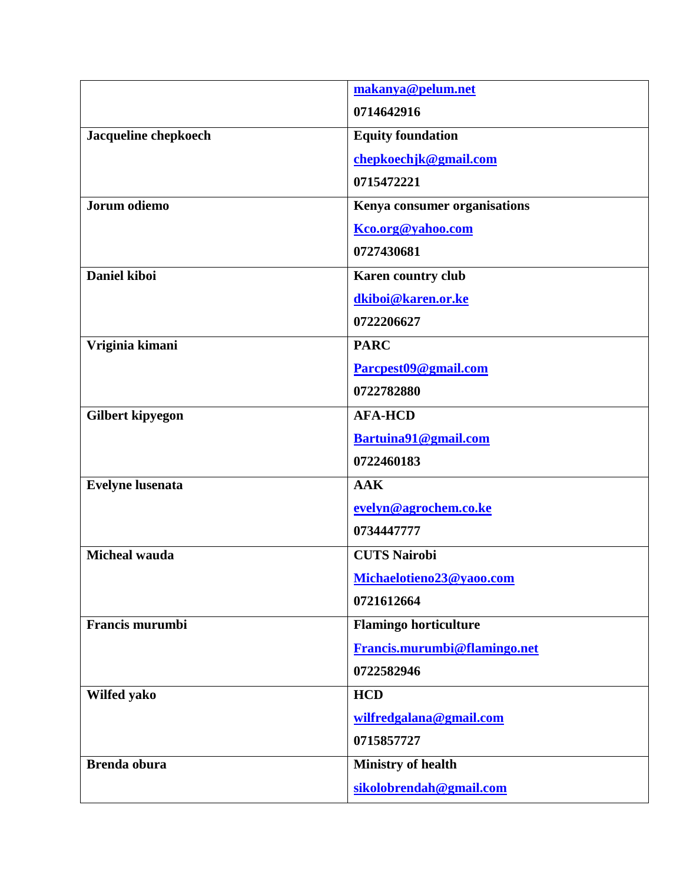|                         | makanya@pelum.net            |
|-------------------------|------------------------------|
|                         | 0714642916                   |
| Jacqueline chepkoech    | <b>Equity foundation</b>     |
|                         | chepkoechjk@gmail.com        |
|                         | 0715472221                   |
| Jorum odiemo            | Kenya consumer organisations |
|                         | Kco.org@yahoo.com            |
|                         | 0727430681                   |
| Daniel kiboi            | Karen country club           |
|                         | dkiboi@karen.or.ke           |
|                         | 0722206627                   |
| Vriginia kimani         | <b>PARC</b>                  |
|                         | Parcpest09@gmail.com         |
|                         | 0722782880                   |
| Gilbert kipyegon        | <b>AFA-HCD</b>               |
|                         | Bartuina91@gmail.com         |
|                         | 0722460183                   |
| <b>Evelyne</b> lusenata | <b>AAK</b>                   |
|                         | evelyn@agrochem.co.ke        |
|                         | 0734447777                   |
| <b>Micheal wauda</b>    | <b>CUTS Nairobi</b>          |
|                         | Michaelotieno23@yaoo.com     |
|                         | 0721612664                   |
| Francis murumbi         | <b>Flamingo horticulture</b> |
|                         | Francis.murumbi@flamingo.net |
|                         | 0722582946                   |
| Wilfed yako             | <b>HCD</b>                   |
|                         | wilfredgalana@gmail.com      |
|                         | 0715857727                   |
| <b>Brenda</b> obura     | <b>Ministry of health</b>    |
|                         | sikolobrendah@gmail.com      |
|                         |                              |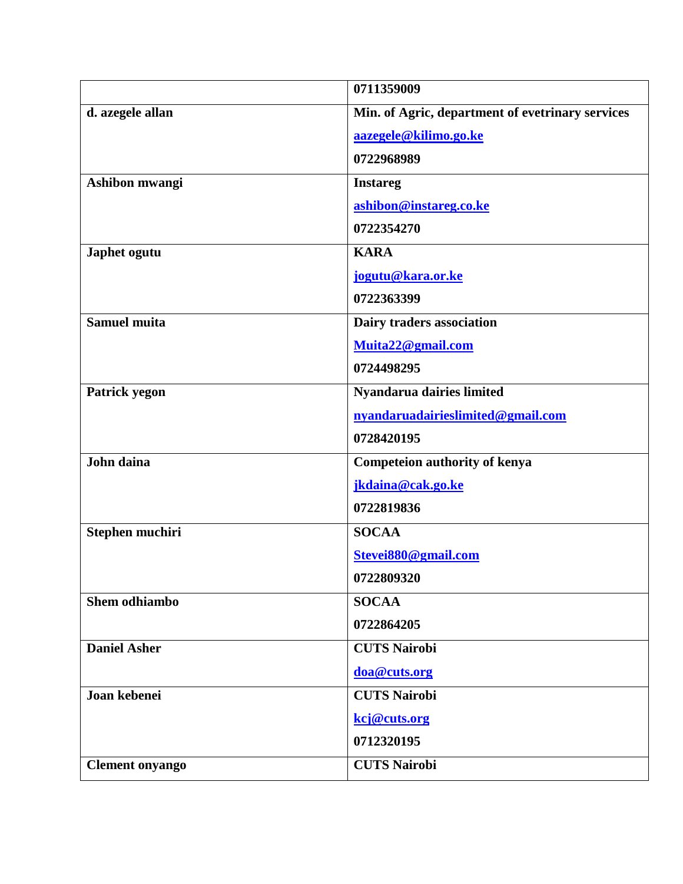|                        | 0711359009                                       |
|------------------------|--------------------------------------------------|
| d. azegele allan       | Min. of Agric, department of evetrinary services |
|                        | aazegele@kilimo.go.ke                            |
|                        | 0722968989                                       |
| Ashibon mwangi         | <b>Instareg</b>                                  |
|                        | ashibon@instareg.co.ke                           |
|                        | 0722354270                                       |
| Japhet ogutu           | <b>KARA</b>                                      |
|                        | jogutu@kara.or.ke                                |
|                        | 0722363399                                       |
| Samuel muita           | Dairy traders association                        |
|                        | Muita22@gmail.com                                |
|                        | 0724498295                                       |
| Patrick yegon          | Nyandarua dairies limited                        |
|                        | nyandaruadairieslimited@gmail.com                |
|                        | 0728420195                                       |
| John daina             | Competeion authority of kenya                    |
|                        | jkdaina@cak.go.ke                                |
|                        | 0722819836                                       |
| Stephen muchiri        | <b>SOCAA</b>                                     |
|                        | Stevei880@gmail.com                              |
|                        | 0722809320                                       |
| Shem odhiambo          | <b>SOCAA</b>                                     |
|                        | 0722864205                                       |
| <b>Daniel Asher</b>    | <b>CUTS Nairobi</b>                              |
|                        | doa@cuts.org                                     |
| Joan kebenei           | <b>CUTS Nairobi</b>                              |
|                        | kcj@cuts.org                                     |
|                        | 0712320195                                       |
| <b>Clement onyango</b> | <b>CUTS Nairobi</b>                              |